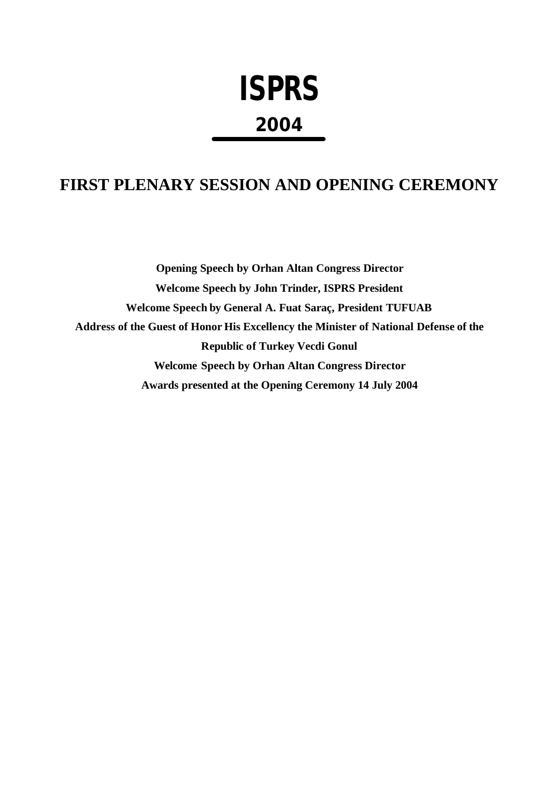# **ISPRS 2004**

# **FIRST PLENARY SESSION AND OPENING CEREMONY**

**Opening Speech by Orhan Altan Congress Director Welcome Speech by John Trinder, ISPRS President Welcome Speech by General A. Fuat Saraç, President TUFUAB Address of the Guest of Honor His Excellency the Minister of National Defense of the Republic of Turkey Vecdi Gonul Welcome Speech by Orhan Altan Congress Director Awards presented at the Opening Ceremony 14 July 2004**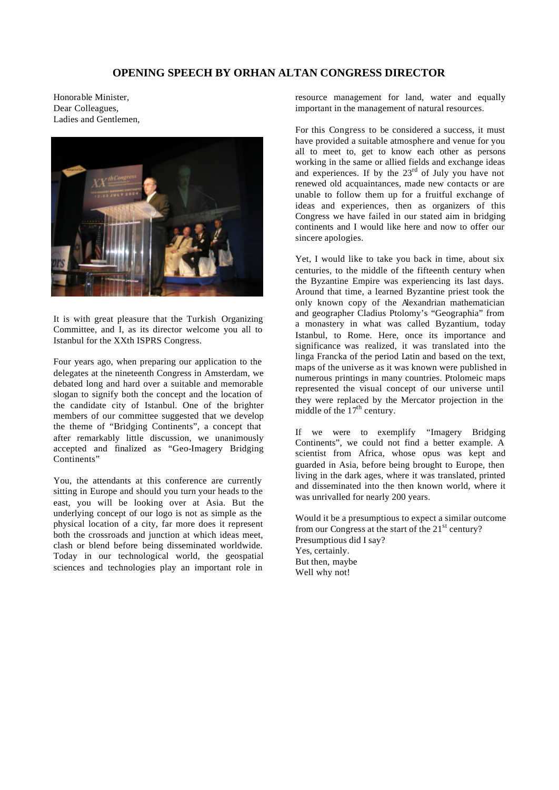## **OPENING SPEECH BY ORHAN ALTAN CONGRESS DIRECTOR**

Honorable Minister, Dear Colleagues, Ladies and Gentlemen,



It is with great pleasure that the Turkish Organizing Committee, and I, as its director welcome you all to Istanbul for the XXth ISPRS Congress.

Four years ago, when preparing our application to the delegates at the nineteenth Congress in Amsterdam, we debated long and hard over a suitable and memorable slogan to signify both the concept and the location of the candidate city of Istanbul. One of the brighter members of our committee suggested that we develop the theme of "Bridging Continents", a concept that after remarkably little discussion, we unanimously accepted and finalized as "Geo-Imagery Bridging Continents"

You, the attendants at this conference are currently sitting in Europe and should you turn your heads to the east, you will be looking over at Asia. But the underlying concept of our logo is not as simple as the physical location of a city, far more does it represent both the crossroads and junction at which ideas meet, clash or blend before being disseminated worldwide. Today in our technological world, the geospatial sciences and technologies play an important role in

resource management for land, water and equally important in the management of natural resources.

For this Congress to be considered a success, it must have provided a suitable atmosphere and venue for you all to meet to, get to know each other as persons working in the same or allied fields and exchange ideas and experiences. If by the  $23<sup>rd</sup>$  of July you have not renewed old acquaintances, made new contacts or are unable to follow them up for a fruitful exchange of ideas and experiences, then as organizers of this Congress we have failed in our stated aim in bridging continents and I would like here and now to offer our sincere apologies.

Yet, I would like to take you back in time, about six centuries, to the middle of the fifteenth century when the Byzantine Empire was experiencing its last days. Around that time, a learned Byzantine priest took the only known copy of the Alexandrian mathematician and geographer Cladius Ptolomy's "Geographia" from a monastery in what was called Byzantium, today Istanbul, to Rome. Here, once its importance and significance was realized, it was translated into the linga Francka of the period Latin and based on the text, maps of the universe as it was known were published in numerous printings in many countries. Ptolomeic maps represented the visual concept of our universe until they were replaced by the Mercator projection in the middle of the  $17<sup>th</sup>$  century.

If we were to exemplify "Imagery Bridging Continents", we could not find a better example. A scientist from Africa, whose opus was kept and guarded in Asia, before being brought to Europe, then living in the dark ages, where it was translated, printed and disseminated into the then known world, where it was unrivalled for nearly 200 years.

Would it be a presumptious to expect a similar outcome from our Congress at the start of the  $21<sup>st</sup>$  century? Presumptious did I say? Yes, certainly. But then, maybe Well why not!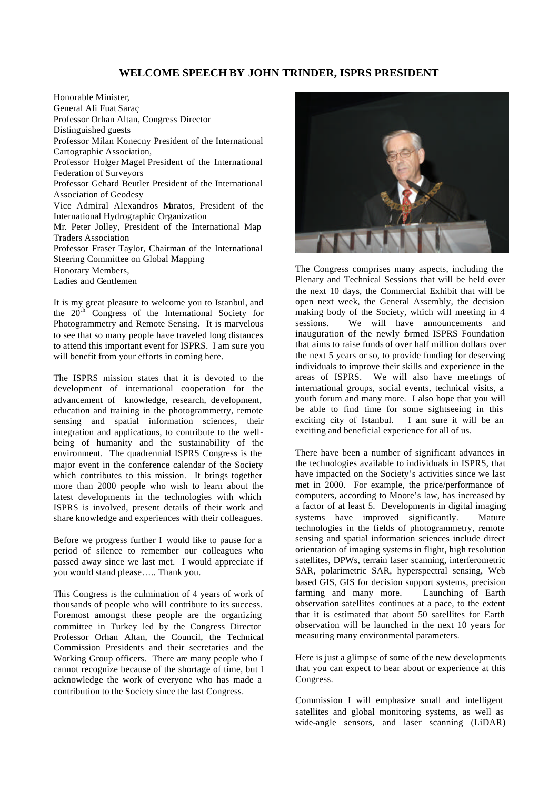### **WELCOME SPEECH BY JOHN TRINDER, ISPRS PRESIDENT**

Honorable Minister, General Ali Fuat Saraç Professor Orhan Altan, Congress Director Distinguished guests Professor Milan Konecny President of the International Cartographic Association, Professor Holger Magel President of the International Federation of Surveyors Professor Gehard Beutler President of the International Association of Geodesy Vice Admiral Alexandros Maratos, President of the International Hydrographic Organization Mr. Peter Jolley, President of the International Map Traders Association Professor Fraser Taylor, Chairman of the International Steering Committee on Global Mapping Honorary Members, Ladies and Gentlemen

It is my great pleasure to welcome you to Istanbul, and the  $20^{th}$  Congress of the International Society for Photogrammetry and Remote Sensing. It is marvelous to see that so many people have traveled long distances to attend this important event for ISPRS. I am sure you will benefit from your efforts in coming here.

The ISPRS mission states that it is devoted to the development of international cooperation for the advancement of knowledge, research, development, education and training in the photogrammetry, remote sensing and spatial information sciences, their integration and applications, to contribute to the wellbeing of humanity and the sustainability of the environment. The quadrennial ISPRS Congress is the major event in the conference calendar of the Society which contributes to this mission. It brings together more than 2000 people who wish to learn about the latest developments in the technologies with which ISPRS is involved, present details of their work and share knowledge and experiences with their colleagues.

Before we progress further I would like to pause for a period of silence to remember our colleagues who passed away since we last met. I would appreciate if you would stand please….. Thank you.

This Congress is the culmination of 4 years of work of thousands of people who will contribute to its success. Foremost amongst these people are the organizing committee in Turkey led by the Congress Director Professor Orhan Altan, the Council, the Technical Commission Presidents and their secretaries and the Working Group officers. There are many people who I cannot recognize because of the shortage of time, but I acknowledge the work of everyone who has made a contribution to the Society since the last Congress.



The Congress comprises many aspects, including the Plenary and Technical Sessions that will be held over the next 10 days, the Commercial Exhibit that will be open next week, the General Assembly, the decision making body of the Society, which will meeting in 4 sessions. We will have announcements and inauguration of the newly formed ISPRS Foundation that aims to raise funds of over half million dollars over the next 5 years or so, to provide funding for deserving individuals to improve their skills and experience in the areas of ISPRS. We will also have meetings of international groups, social events, technical visits, a youth forum and many more. I also hope that you will be able to find time for some sightseeing in this exciting city of Istanbul. I am sure it will be an exciting and beneficial experience for all of us.

There have been a number of significant advances in the technologies available to individuals in ISPRS, that have impacted on the Society's activities since we last met in 2000. For example, the price/performance of computers, according to Moore's law, has increased by a factor of at least 5. Developments in digital imaging systems have improved significantly. Mature technologies in the fields of photogrammetry, remote sensing and spatial information sciences include direct orientation of imaging systems in flight, high resolution satellites, DPWs, terrain laser scanning, interferometric SAR, polarimetric SAR, hyperspectral sensing, Web based GIS, GIS for decision support systems, precision farming and many more. Launching of Earth observation satellites continues at a pace, to the extent that it is estimated that about 50 satellites for Earth observation will be launched in the next 10 years for measuring many environmental parameters.

Here is just a glimpse of some of the new developments that you can expect to hear about or experience at this Congress.

Commission I will emphasize small and intelligent satellites and global monitoring systems, as well as wide-angle sensors, and laser scanning (LiDAR)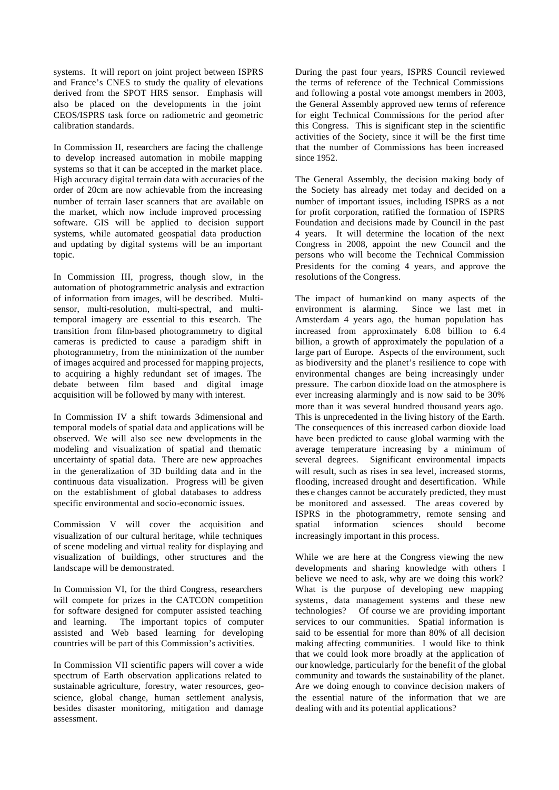systems. It will report on joint project between ISPRS and France's CNES to study the quality of elevations derived from the SPOT HRS sensor. Emphasis will also be placed on the developments in the joint CEOS/ISPRS task force on radiometric and geometric calibration standards.

In Commission II, researchers are facing the challenge to develop increased automation in mobile mapping systems so that it can be accepted in the market place. High accuracy digital terrain data with accuracies of the order of 20cm are now achievable from the increasing number of terrain laser scanners that are available on the market, which now include improved processing software. GIS will be applied to decision support systems, while automated geospatial data production and updating by digital systems will be an important topic.

In Commission III, progress, though slow, in the automation of photogrammetric analysis and extraction of information from images, will be described. Multisensor, multi-resolution, multi-spectral, and multitemporal imagery are essential to this research. The transition from film-based photogrammetry to digital cameras is predicted to cause a paradigm shift in photogrammetry, from the minimization of the number of images acquired and processed for mapping projects, to acquiring a highly redundant set of images. The debate between film based and digital image acquisition will be followed by many with interest.

In Commission IV a shift towards 3-dimensional and temporal models of spatial data and applications will be observed. We will also see new developments in the modeling and visualization of spatial and thematic uncertainty of spatial data. There are new approaches in the generalization of 3D building data and in the continuous data visualization. Progress will be given on the establishment of global databases to address specific environmental and socio-economic issues.

Commission V will cover the acquisition and visualization of our cultural heritage, while techniques of scene modeling and virtual reality for displaying and visualization of buildings, other structures and the landscape will be demonstrated.

In Commission VI, for the third Congress, researchers will compete for prizes in the CATCON competition for software designed for computer assisted teaching and learning. The important topics of computer assisted and Web based learning for developing countries will be part of this Commission's activities.

In Commission VII scientific papers will cover a wide spectrum of Earth observation applications related to sustainable agriculture, forestry, water resources, geoscience, global change, human settlement analysis, besides disaster monitoring, mitigation and damage assessment.

During the past four years, ISPRS Council reviewed the terms of reference of the Technical Commissions and following a postal vote amongst members in 2003, the General Assembly approved new terms of reference for eight Technical Commissions for the period after this Congress. This is significant step in the scientific activities of the Society, since it will be the first time that the number of Commissions has been increased since 1952.

The General Assembly, the decision making body of the Society has already met today and decided on a number of important issues, including ISPRS as a not for profit corporation, ratified the formation of ISPRS Foundation and decisions made by Council in the past 4 years. It will determine the location of the next Congress in 2008, appoint the new Council and the persons who will become the Technical Commission Presidents for the coming 4 years, and approve the resolutions of the Congress.

The impact of humankind on many aspects of the environment is alarming. Since we last met in Amsterdam 4 years ago, the human population has increased from approximately 6.08 billion to 6.4 billion, a growth of approximately the population of a large part of Europe. Aspects of the environment, such as biodiversity and the planet's resilience to cope with environmental changes are being increasingly under pressure. The carbon dioxide load on the atmosphere is ever increasing alarmingly and is now said to be 30% more than it was several hundred thousand years ago. This is unprecedented in the living history of the Earth. The consequences of this increased carbon dioxide load have been predicted to cause global warming with the average temperature increasing by a minimum of several degrees. Significant environmental impacts will result, such as rises in sea level, increased storms, flooding, increased drought and desertification. While thes e changes cannot be accurately predicted, they must be monitored and assessed. The areas covered by ISPRS in the photogrammetry, remote sensing and spatial information sciences should become increasingly important in this process.

While we are here at the Congress viewing the new developments and sharing knowledge with others I believe we need to ask, why are we doing this work? What is the purpose of developing new mapping systems, data management systems and these new technologies? Of course we are providing important services to our communities. Spatial information is said to be essential for more than 80% of all decision making affecting communities. I would like to think that we could look more broadly at the application of our knowledge, particularly for the benefit of the global community and towards the sustainability of the planet. Are we doing enough to convince decision makers of the essential nature of the information that we are dealing with and its potential applications?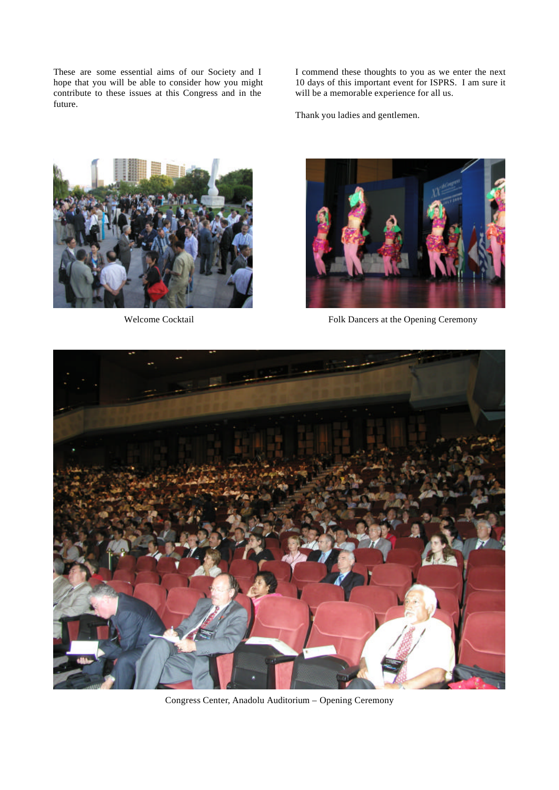These are some essential aims of our Society and I hope that you will be able to consider how you might contribute to these issues at this Congress and in the future.

I commend these thoughts to you as we enter the next 10 days of this important event for ISPRS. I am sure it will be a memorable experience for all us.

Thank you ladies and gentlemen.





Welcome Cocktail Folk Dancers at the Opening Ceremony



Congress Center, Anadolu Auditorium – Opening Ceremony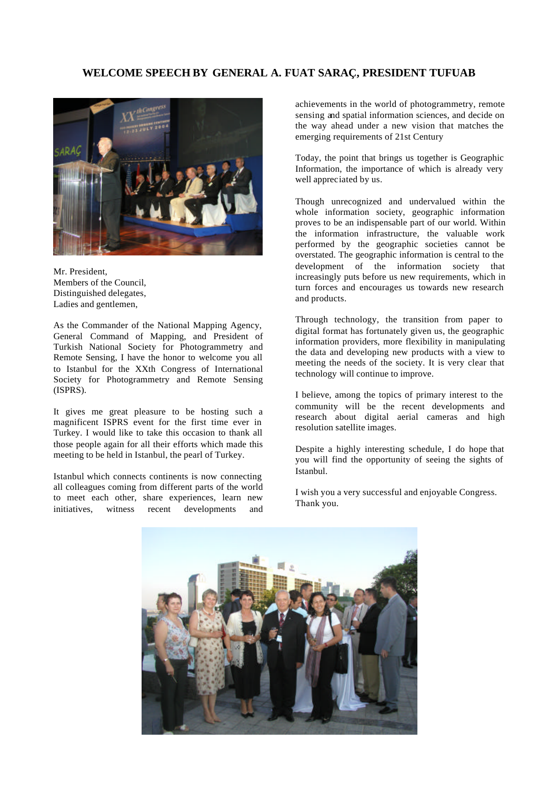# **WELCOME SPEECH BY GENERAL A. FUAT SARAÇ, PRESIDENT TUFUAB**



Mr. President, Members of the Council, Distinguished delegates, Ladies and gentlemen,

As the Commander of the National Mapping Agency, General Command of Mapping, and President of Turkish National Society for Photogrammetry and Remote Sensing, I have the honor to welcome you all to Istanbul for the XXth Congress of International Society for Photogrammetry and Remote Sensing (ISPRS).

It gives me great pleasure to be hosting such a magnificent ISPRS event for the first time ever in Turkey. I would like to take this occasion to thank all those people again for all their efforts which made this meeting to be held in Istanbul, the pearl of Turkey.

Istanbul which connects continents is now connecting all colleagues coming from different parts of the world to meet each other, share experiences, learn new initiatives, witness recent developments and achievements in the world of photogrammetry, remote sensing and spatial information sciences, and decide on the way ahead under a new vision that matches the emerging requirements of 21st Century

Today, the point that brings us together is Geographic Information, the importance of which is already very well appreciated by us.

Though unrecognized and undervalued within the whole information society, geographic information proves to be an indispensable part of our world. Within the information infrastructure, the valuable work performed by the geographic societies cannot be overstated. The geographic information is central to the development of the information society that increasingly puts before us new requirements, which in turn forces and encourages us towards new research and products.

Through technology, the transition from paper to digital format has fortunately given us, the geographic information providers, more flexibility in manipulating the data and developing new products with a view to meeting the needs of the society. It is very clear that technology will continue to improve.

I believe, among the topics of primary interest to the community will be the recent developments and research about digital aerial cameras and high resolution satellite images.

Despite a highly interesting schedule, I do hope that you will find the opportunity of seeing the sights of Istanbul.

I wish you a very successful and enjoyable Congress. Thank you.

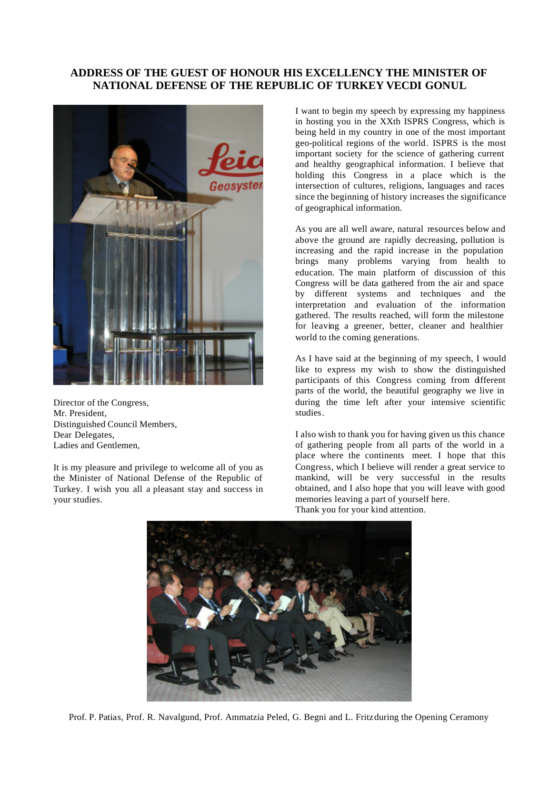# **ADDRESS OF THE GUEST OF HONOUR HIS EXCELLENCY THE MINISTER OF NATIONAL DEFENSE OF THE REPUBLIC OF TURKEY VECDI GONUL**



Director of the Congress, Mr. President, Distinguished Council Members, Dear Delegates. Ladies and Gentlemen,

It is my pleasure and privilege to welcome all of you as the Minister of National Defense of the Republic of Turkey. I wish you all a pleasant stay and success in your studies.

I want to begin my speech by expressing my happiness in hosting you in the XXth ISPRS Congress, which is being held in my country in one of the most important geo-political regions of the world. ISPRS is the most important society for the science of gathering current and healthy geographical information. I believe that holding this Congress in a place which is the intersection of cultures, religions, languages and races since the beginning of history increases the significance of geographical information.

As you are all well aware, natural resources below and above the ground are rapidly decreasing, pollution is increasing and the rapid increase in the population brings many problems varying from health to education. The main platform of discussion of this Congress will be data gathered from the air and space by different systems and techniques and the interpretation and evaluation of the information gathered. The results reached, will form the milestone for leaving a greener, better, cleaner and healthier world to the coming generations.

As I have said at the beginning of my speech, I would like to express my wish to show the distinguished participants of this Congress coming from different parts of the world, the beautiful geography we live in during the time left after your intensive scientific studies.

I also wish to thank you for having given us this chance of gathering people from all parts of the world in a place where the continents meet. I hope that this Congress, which I believe will render a great service to mankind, will be very successful in the results obtained, and I also hope that you will leave with good memories leaving a part of yourself here. Thank you for your kind attention.



Prof. P. Patias, Prof. R. Navalgund, Prof. Ammatzia Peled, G. Begni and L. Fritz during the Opening Ceramony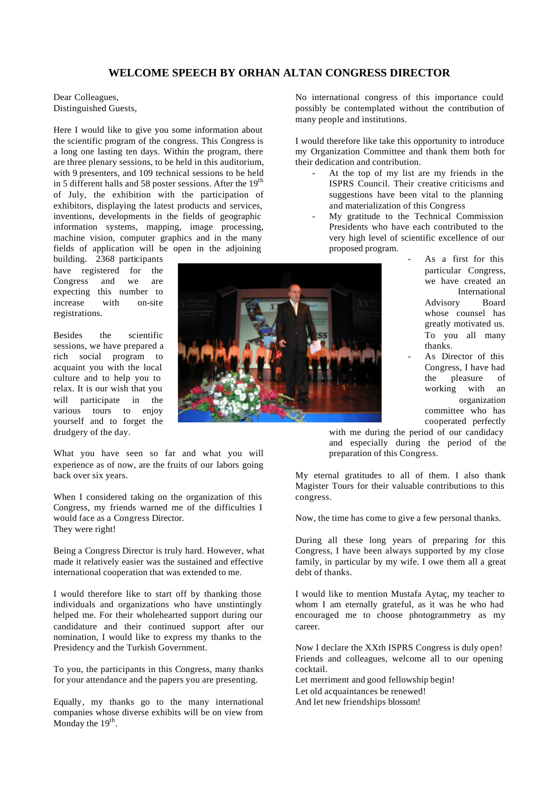# **WELCOME SPEECH BY ORHAN ALTAN CONGRESS DIRECTOR**

Dear Colleagues, Distinguished Guests,

Here I would like to give you some information about the scientific program of the congress. This Congress is a long one lasting ten days. Within the program, there are three plenary sessions, to be held in this auditorium, with 9 presenters, and 109 technical sessions to be held in 5 different halls and 58 poster sessions. After the 19<sup>th</sup> of July, the exhibition with the participation of exhibitors, displaying the latest products and services, inventions, developments in the fields of geographic information systems, mapping, image processing, machine vision, computer graphics and in the many fields of application will be open in the adjoining

building. 2368 participants have registered for the Congress and we are expecting this number to increase with on-site registrations.

Besides the scientific sessions, we have prepared a rich social program to acquaint you with the local culture and to help you to relax. It is our wish that you will participate in the various tours to enjoy yourself and to forget the drudgery of the day.

What you have seen so far and what you will experience as of now, are the fruits of our labors going back over six years.

When I considered taking on the organization of this Congress, my friends warned me of the difficulties I would face as a Congress Director. They were right!

Being a Congress Director is truly hard. However, what made it relatively easier was the sustained and effective international cooperation that was extended to me.

I would therefore like to start off by thanking those individuals and organizations who have unstintingly helped me. For their wholehearted support during our candidature and their continued support after our nomination, I would like to express my thanks to the Presidency and the Turkish Government.

To you, the participants in this Congress, many thanks for your attendance and the papers you are presenting.

Equally, my thanks go to the many international companies whose diverse exhibits will be on view from Monday the  $19<sup>th</sup>$ .

No international congress of this importance could possibly be contemplated without the contribution of many people and institutions.

I would therefore like take this opportunity to introduce my Organization Committee and thank them both for their dedication and contribution.

- At the top of my list are my friends in the ISPRS Council. Their creative criticisms and suggestions have been vital to the planning and materialization of this Congress
- My gratitude to the Technical Commission Presidents who have each contributed to the very high level of scientific excellence of our proposed program.
	- As a first for this particular Congress, we have created an International Advisory Board whose counsel has greatly motivated us. To you all many thanks.
	- As Director of this Congress, I have had the pleasure of working with an organization committee who has cooperated perfectly

with me during the period of our candidacy and especially during the period of the preparation of this Congress.

My eternal gratitudes to all of them. I also thank Magister Tours for their valuable contributions to this congress.

Now, the time has come to give a few personal thanks.

During all these long years of preparing for this Congress, I have been always supported by my close family, in particular by my wife. I owe them all a great debt of thanks.

I would like to mention Mustafa Aytaç, my teacher to whom I am eternally grateful, as it was he who had encouraged me to choose photogrammetry as my career.

Now I declare the XXth ISPRS Congress is duly open! Friends and colleagues, welcome all to our opening cocktail.

Let merriment and good fellowship begin!

Let old acquaintances be renewed!

And let new friendships blossom!

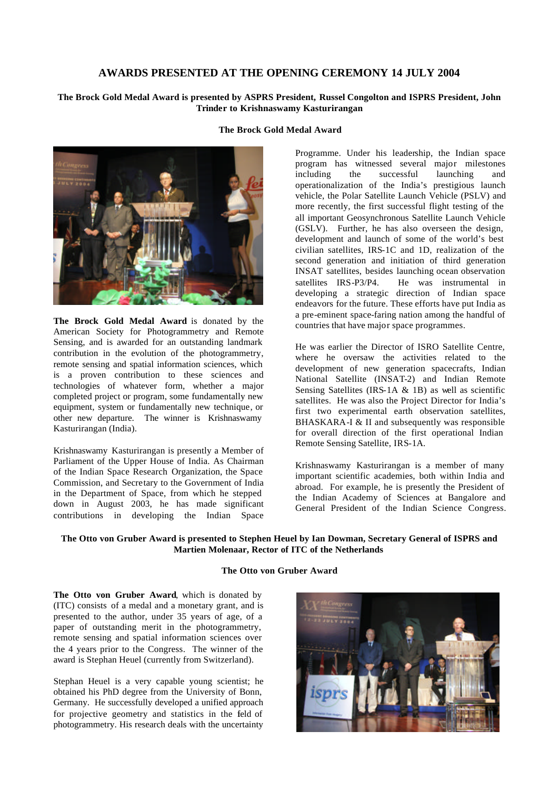### **AWARDS PRESENTED AT THE OPENING CEREMONY 14 JULY 2004**

#### **The Brock Gold Medal Award is presented by ASPRS President, Russel Congolton and ISPRS President, John Trinder to Krishnaswamy Kasturirangan**



**The Brock Gold Medal Award** is donated by the American Society for Photogrammetry and Remote Sensing, and is awarded for an outstanding landmark contribution in the evolution of the photogrammetry, remote sensing and spatial information sciences, which is a proven contribution to these sciences and technologies of whatever form, whether a major completed project or program, some fundamentally new equipment, system or fundamentally new technique, or other new departure. The winner is Krishnaswamy Kasturirangan (India).

Krishnaswamy Kasturirangan is presently a Member of Parliament of the Upper House of India. As Chairman of the Indian Space Research Organization, the Space Commission, and Secretary to the Government of India in the Department of Space, from which he stepped down in August 2003, he has made significant contributions in developing the Indian Space

Programme. Under his leadership, the Indian space program has witnessed several major milestones including the successful launching and operationalization of the India's prestigious launch vehicle, the Polar Satellite Launch Vehicle (PSLV) and more recently, the first successful flight testing of the all important Geosynchronous Satellite Launch Vehicle (GSLV). Further, he has also overseen the design, development and launch of some of the world's best civilian satellites, IRS-1C and 1D, realization of the second generation and initiation of third generation INSAT satellites, besides launching ocean observation satellites IRS-P3/P4. He was instrumental in developing a strategic direction of Indian space endeavors for the future. These efforts have put India as a pre-eminent space-faring nation among the handful of countries that have major space programmes.

He was earlier the Director of ISRO Satellite Centre, where he oversaw the activities related to the development of new generation spacecrafts, Indian National Satellite (INSAT-2) and Indian Remote Sensing Satellites (IRS-1A & 1B) as well as scientific satellites. He was also the Project Director for India's first two experimental earth observation satellites, BHASKARA-I & II and subsequently was responsible for overall direction of the first operational Indian Remote Sensing Satellite, IRS-1A.

Krishnaswamy Kasturirangan is a member of many important scientific academies, both within India and abroad. For example, he is presently the President of the Indian Academy of Sciences at Bangalore and General President of the Indian Science Congress.

#### **The Otto von Gruber Award is presented to Stephen Heuel by Ian Dowman, Secretary General of ISPRS and Martien Molenaar, Rector of ITC of the Netherlands**

#### **The Otto von Gruber Award**

**The Otto von Gruber Award**, which is donated by (ITC) consists of a medal and a monetary grant, and is presented to the author, under 35 years of age, of a paper of outstanding merit in the photogrammetry, remote sensing and spatial information sciences over the 4 years prior to the Congress. The winner of the award is Stephan Heuel (currently from Switzerland).

Stephan Heuel is a very capable young scientist; he obtained his PhD degree from the University of Bonn, Germany. He successfully developed a unified approach for projective geometry and statistics in the field of photogrammetry. His research deals with the uncertainty



**The Brock Gold Medal Award**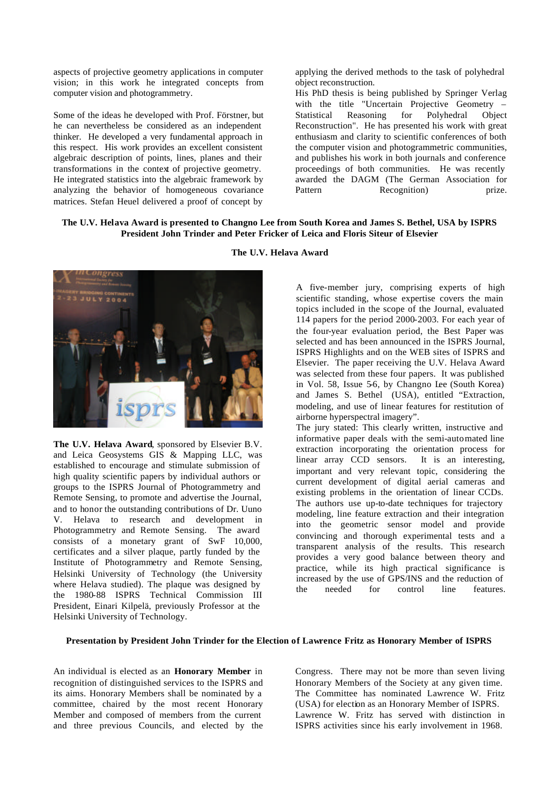aspects of projective geometry applications in computer vision; in this work he integrated concepts from computer vision and photogrammetry.

Some of the ideas he developed with Prof. Förstner, but he can nevertheless be considered as an independent thinker. He developed a very fundamental approach in this respect. His work provides an excellent consistent algebraic description of points, lines, planes and their transformations in the context of projective geometry. He integrated statistics into the algebraic framework by analyzing the behavior of homogeneous covariance matrices. Stefan Heuel delivered a proof of concept by

applying the derived methods to the task of polyhedral object reconstruction.

His PhD thesis is being published by Springer Verlag with the title "Uncertain Projective Geometry – Statistical Reasoning for Polyhedral Object Reconstruction". He has presented his work with great enthusiasm and clarity to scientific conferences of both the computer vision and photogrammetric communities, and publishes his work in both journals and conference proceedings of both communities. He was recently awarded the DAGM (The German Association for Pattern Recognition) prize.

#### **The U.V. Helava Award is presented to Changno Lee from South Korea and James S. Bethel, USA by ISPRS President John Trinder and Peter Fricker of Leica and Floris Siteur of Elsevier**



**The U.V. Helava Award**, sponsored by Elsevier B.V. and Leica Geosystems GIS & Mapping LLC, was established to encourage and stimulate submission of high quality scientific papers by individual authors or groups to the ISPRS Journal of Photogrammetry and Remote Sensing, to promote and advertise the Journal, and to honor the outstanding contributions of Dr. Uuno V. Helava to research and development in Photogrammetry and Remote Sensing. The award consists of a monetary grant of SwF 10,000, certificates and a silver plaque, partly funded by the Institute of Photogrammetry and Remote Sensing, Helsinki University of Technology (the University where Helava studied). The plaque was designed by the 1980-88 ISPRS Technical Commission III President, Einari Kilpelä, previously Professor at the Helsinki University of Technology.

**The U.V. Helava Award**

A five-member jury, comprising experts of high scientific standing, whose expertise covers the main topics included in the scope of the Journal, evaluated 114 papers for the period 2000-2003. For each year of the four-year evaluation period, the Best Paper was selected and has been announced in the ISPRS Journal, ISPRS Highlights and on the WEB sites of ISPRS and Elsevier. The paper receiving the U.V. Helava Award was selected from these four papers. It was published in Vol. 58, Issue 5-6, by Changno Lee (South Korea) and James S. Bethel (USA), entitled "Extraction, modeling, and use of linear features for restitution of airborne hyperspectral imagery".

The jury stated: This clearly written, instructive and informative paper deals with the semi-automated line extraction incorporating the orientation process for linear array CCD sensors. It is an interesting, important and very relevant topic, considering the current development of digital aerial cameras and existing problems in the orientation of linear CCDs. The authors use up-to-date techniques for trajectory modeling, line feature extraction and their integration into the geometric sensor model and provide convincing and thorough experimental tests and a transparent analysis of the results. This research provides a very good balance between theory and practice, while its high practical significance is increased by the use of GPS/INS and the reduction of the needed for control line features.

#### **Presentation by President John Trinder for the Election of Lawrence Fritz as Honorary Member of ISPRS**

An individual is elected as an **Honorary Member** in recognition of distinguished services to the ISPRS and its aims. Honorary Members shall be nominated by a committee, chaired by the most recent Honorary Member and composed of members from the current and three previous Councils, and elected by the

Congress. There may not be more than seven living Honorary Members of the Society at any given time. The Committee has nominated Lawrence W. Fritz (USA) for election as an Honorary Member of ISPRS. Lawrence W. Fritz has served with distinction in ISPRS activities since his early involvement in 1968.